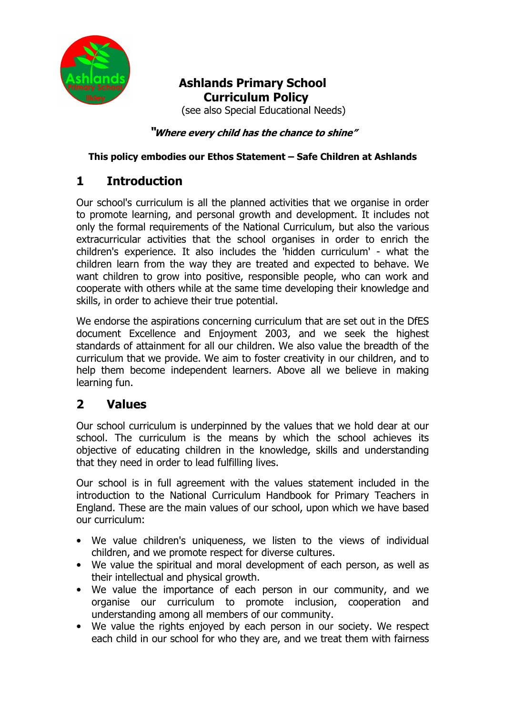

#### Ashlands Primary School Curriculum Policy

(see also Special Educational Needs)

#### "Where every child has the chance to shine"

#### This policy embodies our Ethos Statement – Safe Children at Ashlands

## 1 Introduction

Our school's curriculum is all the planned activities that we organise in order to promote learning, and personal growth and development. It includes not only the formal requirements of the National Curriculum, but also the various extracurricular activities that the school organises in order to enrich the children's experience. It also includes the 'hidden curriculum' - what the children learn from the way they are treated and expected to behave. We want children to grow into positive, responsible people, who can work and cooperate with others while at the same time developing their knowledge and skills, in order to achieve their true potential.

We endorse the aspirations concerning curriculum that are set out in the DfES document Excellence and Enjoyment 2003, and we seek the highest standards of attainment for all our children. We also value the breadth of the curriculum that we provide. We aim to foster creativity in our children, and to help them become independent learners. Above all we believe in making learning fun.

## 2 Values

Our school curriculum is underpinned by the values that we hold dear at our school. The curriculum is the means by which the school achieves its objective of educating children in the knowledge, skills and understanding that they need in order to lead fulfilling lives.

Our school is in full agreement with the values statement included in the introduction to the National Curriculum Handbook for Primary Teachers in England. These are the main values of our school, upon which we have based our curriculum:

- We value children's uniqueness, we listen to the views of individual children, and we promote respect for diverse cultures.
- We value the spiritual and moral development of each person, as well as their intellectual and physical growth.
- We value the importance of each person in our community, and we organise our curriculum to promote inclusion, cooperation and understanding among all members of our community.
- We value the rights enjoyed by each person in our society. We respect each child in our school for who they are, and we treat them with fairness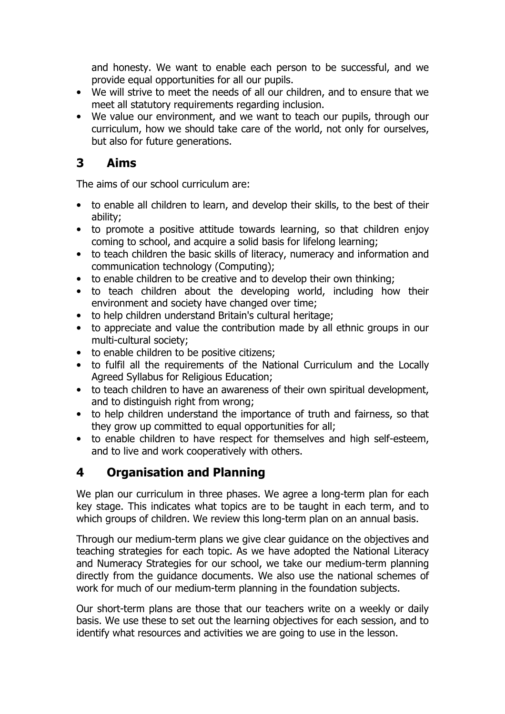and honesty. We want to enable each person to be successful, and we provide equal opportunities for all our pupils.

- We will strive to meet the needs of all our children, and to ensure that we meet all statutory requirements regarding inclusion.
- We value our environment, and we want to teach our pupils, through our curriculum, how we should take care of the world, not only for ourselves, but also for future generations.

# 3 Aims

The aims of our school curriculum are:

- to enable all children to learn, and develop their skills, to the best of their ability;
- to promote a positive attitude towards learning, so that children enjoy coming to school, and acquire a solid basis for lifelong learning;
- to teach children the basic skills of literacy, numeracy and information and communication technology (Computing);
- to enable children to be creative and to develop their own thinking;
- to teach children about the developing world, including how their environment and society have changed over time;
- to help children understand Britain's cultural heritage;
- to appreciate and value the contribution made by all ethnic groups in our multi-cultural society;
- to enable children to be positive citizens;
- to fulfil all the requirements of the National Curriculum and the Locally Agreed Syllabus for Religious Education;
- to teach children to have an awareness of their own spiritual development, and to distinguish right from wrong;
- to help children understand the importance of truth and fairness, so that they grow up committed to equal opportunities for all;
- to enable children to have respect for themselves and high self-esteem, and to live and work cooperatively with others.

# 4 Organisation and Planning

We plan our curriculum in three phases. We agree a long-term plan for each key stage. This indicates what topics are to be taught in each term, and to which groups of children. We review this long-term plan on an annual basis.

Through our medium-term plans we give clear guidance on the objectives and teaching strategies for each topic. As we have adopted the National Literacy and Numeracy Strategies for our school, we take our medium-term planning directly from the guidance documents. We also use the national schemes of work for much of our medium-term planning in the foundation subjects.

Our short-term plans are those that our teachers write on a weekly or daily basis. We use these to set out the learning objectives for each session, and to identify what resources and activities we are going to use in the lesson.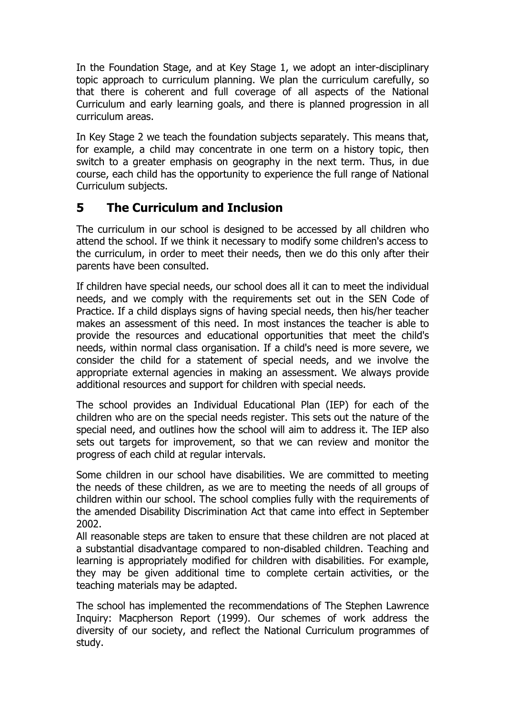In the Foundation Stage, and at Key Stage 1, we adopt an inter-disciplinary topic approach to curriculum planning. We plan the curriculum carefully, so that there is coherent and full coverage of all aspects of the National Curriculum and early learning goals, and there is planned progression in all curriculum areas.

In Key Stage 2 we teach the foundation subjects separately. This means that, for example, a child may concentrate in one term on a history topic, then switch to a greater emphasis on geography in the next term. Thus, in due course, each child has the opportunity to experience the full range of National Curriculum subjects.

## 5 The Curriculum and Inclusion

The curriculum in our school is designed to be accessed by all children who attend the school. If we think it necessary to modify some children's access to the curriculum, in order to meet their needs, then we do this only after their parents have been consulted.

If children have special needs, our school does all it can to meet the individual needs, and we comply with the requirements set out in the SEN Code of Practice. If a child displays signs of having special needs, then his/her teacher makes an assessment of this need. In most instances the teacher is able to provide the resources and educational opportunities that meet the child's needs, within normal class organisation. If a child's need is more severe, we consider the child for a statement of special needs, and we involve the appropriate external agencies in making an assessment. We always provide additional resources and support for children with special needs.

The school provides an Individual Educational Plan (IEP) for each of the children who are on the special needs register. This sets out the nature of the special need, and outlines how the school will aim to address it. The IEP also sets out targets for improvement, so that we can review and monitor the progress of each child at regular intervals.

Some children in our school have disabilities. We are committed to meeting the needs of these children, as we are to meeting the needs of all groups of children within our school. The school complies fully with the requirements of the amended Disability Discrimination Act that came into effect in September 2002.

All reasonable steps are taken to ensure that these children are not placed at a substantial disadvantage compared to non-disabled children. Teaching and learning is appropriately modified for children with disabilities. For example, they may be given additional time to complete certain activities, or the teaching materials may be adapted.

The school has implemented the recommendations of The Stephen Lawrence Inquiry: Macpherson Report (1999). Our schemes of work address the diversity of our society, and reflect the National Curriculum programmes of study.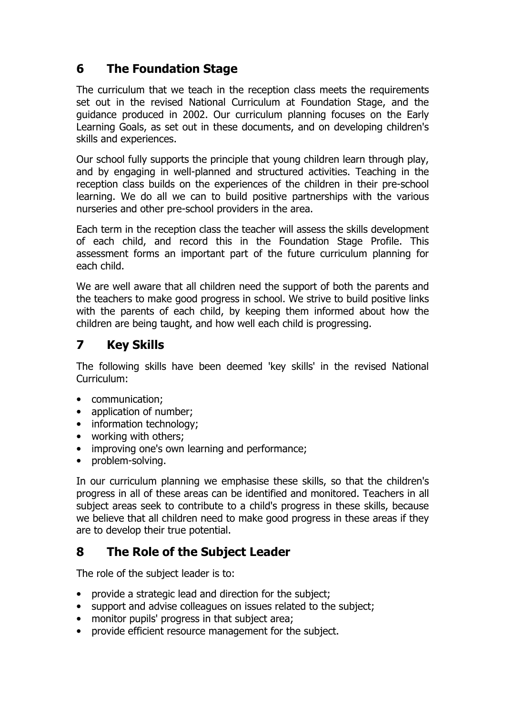## 6 The Foundation Stage

The curriculum that we teach in the reception class meets the requirements set out in the revised National Curriculum at Foundation Stage, and the guidance produced in 2002. Our curriculum planning focuses on the Early Learning Goals, as set out in these documents, and on developing children's skills and experiences.

Our school fully supports the principle that young children learn through play, and by engaging in well-planned and structured activities. Teaching in the reception class builds on the experiences of the children in their pre-school learning. We do all we can to build positive partnerships with the various nurseries and other pre-school providers in the area.

Each term in the reception class the teacher will assess the skills development of each child, and record this in the Foundation Stage Profile. This assessment forms an important part of the future curriculum planning for each child.

We are well aware that all children need the support of both the parents and the teachers to make good progress in school. We strive to build positive links with the parents of each child, by keeping them informed about how the children are being taught, and how well each child is progressing.

## 7 Key Skills

The following skills have been deemed 'key skills' in the revised National Curriculum:

- communication;
- application of number;
- information technology;
- working with others;
- improving one's own learning and performance;
- problem-solving.

In our curriculum planning we emphasise these skills, so that the children's progress in all of these areas can be identified and monitored. Teachers in all subject areas seek to contribute to a child's progress in these skills, because we believe that all children need to make good progress in these areas if they are to develop their true potential.

#### 8 The Role of the Subject Leader

The role of the subject leader is to:

- provide a strategic lead and direction for the subject;
- support and advise colleagues on issues related to the subject;
- monitor pupils' progress in that subject area;
- provide efficient resource management for the subject.